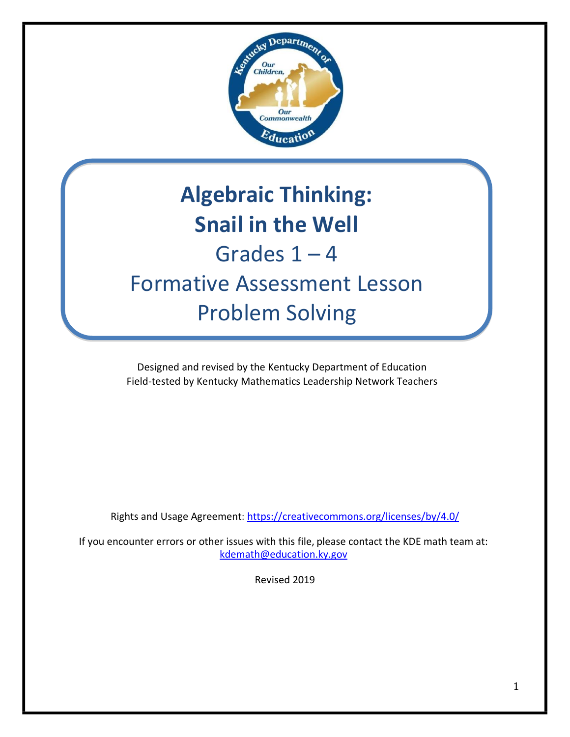

# **Algebraic Thinking: Snail in the Well**

# Grades  $1 - 4$ Formative Assessment Lesson Problem Solving

Designed and revised by the Kentucky Department of Education Field-tested by Kentucky Mathematics Leadership Network Teachers

Rights and Usage Agreement: <https://creativecommons.org/licenses/by/4.0/>

If you encounter errors or other issues with this file, please contact the KDE math team at: kdemath@education.ky.gov

Revised 2019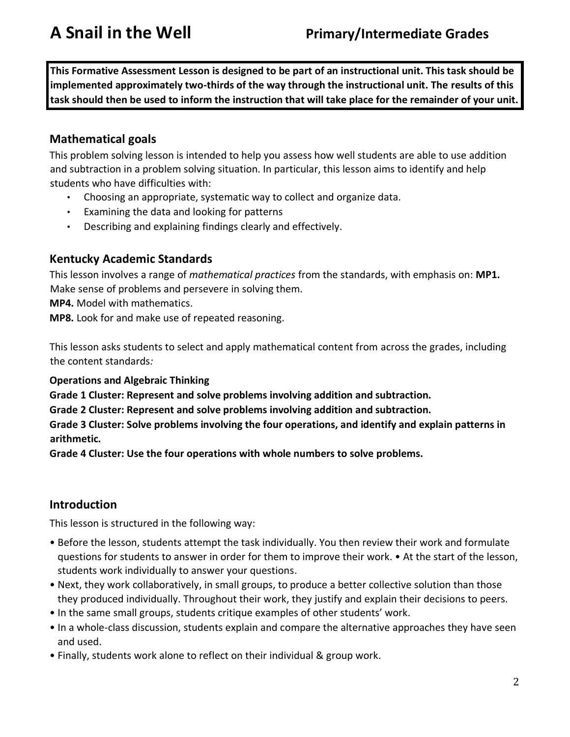**This Formative Assessment Lesson is designed to be part of an instructional unit. This task should be implemented approximately two-thirds of the way through the instructional unit. The results of this task should then be used to inform the instruction that will take place for the remainder of your unit.**

#### **Mathematical goals**

This problem solving lesson is intended to help you assess how well students are able to use addition and subtraction in a problem solving situation. In particular, this lesson aims to identify and help students who have difficulties with:

- Choosing an appropriate, systematic way to collect and organize data.
- Examining the data and looking for patterns
- Describing and explaining findings clearly and effectively.

#### **Kentucky Academic Standards**

This lesson involves a range of *mathematical practices* from the standards, with emphasis on: **MP1.**  Make sense of problems and persevere in solving them.

**MP4.** Model with mathematics.

**MP8.** Look for and make use of repeated reasoning.

This lesson asks students to select and apply mathematical content from across the grades, including the content standards*:* 

**Operations and Algebraic Thinking** 

**Grade 1 Cluster: Represent and solve problems involving addition and subtraction.** 

**Grade 2 Cluster: Represent and solve problems involving addition and subtraction.** 

**Grade 3 Cluster: Solve problems involving the four operations, and identify and explain patterns in arithmetic.** 

**Grade 4 Cluster: Use the four operations with whole numbers to solve problems.** 

#### **Introduction**

This lesson is structured in the following way:

- Before the lesson, students attempt the task individually. You then review their work and formulate questions for students to answer in order for them to improve their work. • At the start of the lesson, students work individually to answer your questions.
- Next, they work collaboratively, in small groups, to produce a better collective solution than those they produced individually. Throughout their work, they justify and explain their decisions to peers.
- In the same small groups, students critique examples of other students' work.
- In a whole-class discussion, students explain and compare the alternative approaches they have seen and used.
- Finally, students work alone to reflect on their individual & group work.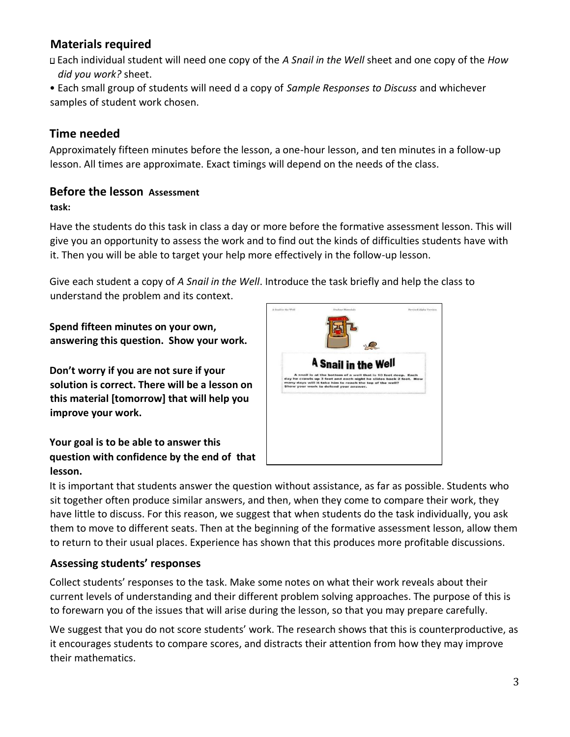#### **Materials required**

- Each individual student will need one copy of the *A Snail in the Well* sheet and one copy of the *How did you work?* sheet.
- Each small group of students will need d a copy of *Sample Responses to Discuss* and whichever samples of student work chosen.

#### **Time needed**

Approximately fifteen minutes before the lesson, a one-hour lesson, and ten minutes in a follow-up lesson. All times are approximate. Exact timings will depend on the needs of the class.

#### **Before the lesson Assessment**

**task:** 

Have the students do this task in class a day or more before the formative assessment lesson. This will give you an opportunity to assess the work and to find out the kinds of difficulties students have with it. Then you will be able to target your help more effectively in the follow-up lesson.

Give each student a copy of *A Snail in the Well*. Introduce the task briefly and help the class to understand the problem and its context.

**Spend fifteen minutes on your own, answering this question. Show your work.** 

**Don't worry if you are not sure if your solution is correct. There will be a lesson on this material [tomorrow] that will help you improve your work.** 

#### **Your goal is to be able to answer this question with confidence by the end of that lesson.**



It is important that students answer the question without assistance, as far as possible. Students who sit together often produce similar answers, and then, when they come to compare their work, they have little to discuss. For this reason, we suggest that when students do the task individually, you ask them to move to different seats. Then at the beginning of the formative assessment lesson, allow them to return to their usual places. Experience has shown that this produces more profitable discussions.

#### **Assessing students' responses**

Collect students' responses to the task. Make some notes on what their work reveals about their current levels of understanding and their different problem solving approaches. The purpose of this is to forewarn you of the issues that will arise during the lesson, so that you may prepare carefully.

We suggest that you do not score students' work. The research shows that this is counterproductive, as it encourages students to compare scores, and distracts their attention from how they may improve their mathematics.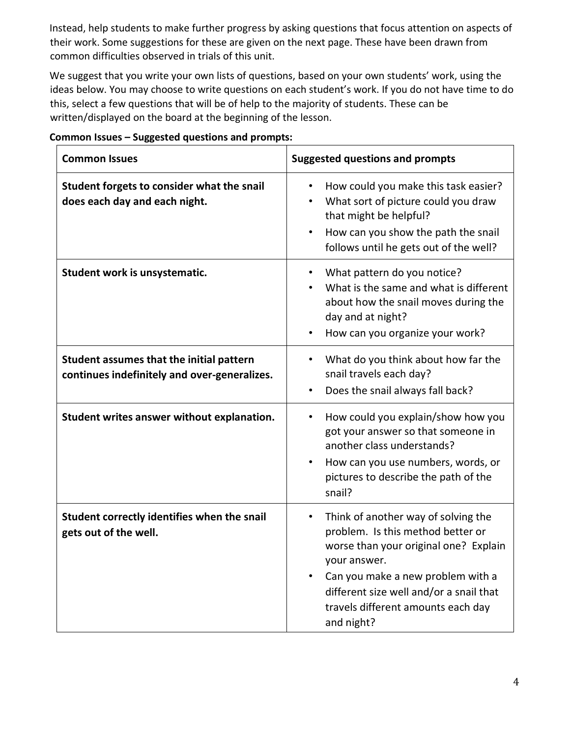Instead, help students to make further progress by asking questions that focus attention on aspects of their work. Some suggestions for these are given on the next page. These have been drawn from common difficulties observed in trials of this unit.

We suggest that you write your own lists of questions, based on your own students' work, using the ideas below. You may choose to write questions on each student's work. If you do not have time to do this, select a few questions that will be of help to the majority of students. These can be written/displayed on the board at the beginning of the lesson.

| <b>Common Issues</b>                                                                     | <b>Suggested questions and prompts</b>                                                                                                                                                                                                                                                          |  |  |
|------------------------------------------------------------------------------------------|-------------------------------------------------------------------------------------------------------------------------------------------------------------------------------------------------------------------------------------------------------------------------------------------------|--|--|
| Student forgets to consider what the snail<br>does each day and each night.              | How could you make this task easier?<br>What sort of picture could you draw<br>that might be helpful?<br>How can you show the path the snail<br>follows until he gets out of the well?                                                                                                          |  |  |
| Student work is unsystematic.                                                            | What pattern do you notice?<br>What is the same and what is different<br>about how the snail moves during the<br>day and at night?<br>How can you organize your work?                                                                                                                           |  |  |
| Student assumes that the initial pattern<br>continues indefinitely and over-generalizes. | What do you think about how far the<br>$\bullet$<br>snail travels each day?<br>Does the snail always fall back?<br>$\bullet$                                                                                                                                                                    |  |  |
| Student writes answer without explanation.                                               | How could you explain/show how you<br>$\bullet$<br>got your answer so that someone in<br>another class understands?<br>How can you use numbers, words, or<br>$\bullet$<br>pictures to describe the path of the<br>snail?                                                                        |  |  |
| Student correctly identifies when the snail<br>gets out of the well.                     | Think of another way of solving the<br>$\bullet$<br>problem. Is this method better or<br>worse than your original one? Explain<br>your answer.<br>Can you make a new problem with a<br>$\bullet$<br>different size well and/or a snail that<br>travels different amounts each day<br>and night? |  |  |

#### **Common Issues – Suggested questions and prompts:**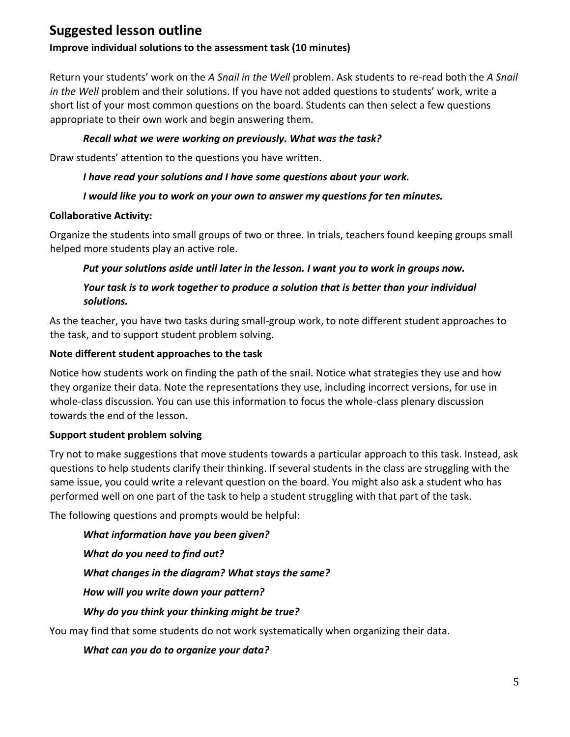### **Suggested lesson outline**

#### **Improve individual solutions to the assessment task (10 minutes)**

Return your students' work on the *A Snail in the Well* problem. Ask students to re-read both the *A Snail in the Well* problem and their solutions. If you have not added questions to students' work, write a short list of your most common questions on the board. Students can then select a few questions appropriate to their own work and begin answering them.

#### *Recall what we were working on previously. What was the task?*

Draw students' attention to the questions you have written.

#### *I have read your solutions and I have some questions about your work.*

#### *I would like you to work on your own to answer my questions for ten minutes.*

#### **Collaborative Activity:**

Organize the students into small groups of two or three. In trials, teachers found keeping groups small helped more students play an active role.

#### *Put your solutions aside until later in the lesson. I want you to work in groups now.*

#### *Your task is to work together to produce a solution that is better than your individual solutions.*

As the teacher, you have two tasks during small-group work, to note different student approaches to the task, and to support student problem solving.

#### **Note different student approaches to the task**

Notice how students work on finding the path of the snail. Notice what strategies they use and how they organize their data. Note the representations they use, including incorrect versions, for use in whole-class discussion. You can use this information to focus the whole-class plenary discussion towards the end of the lesson.

#### **Support student problem solving**

Try not to make suggestions that move students towards a particular approach to this task. Instead, ask questions to help students clarify their thinking. If several students in the class are struggling with the same issue, you could write a relevant question on the board. You might also ask a student who has performed well on one part of the task to help a student struggling with that part of the task.

The following questions and prompts would be helpful:

*What information have you been given? What do you need to find out? What changes in the diagram? What stays the same? How will you write down your pattern? Why do you think your thinking might be true?*  You may find that some students do not work systematically when organizing their data.

#### *What can you do to organize your data?*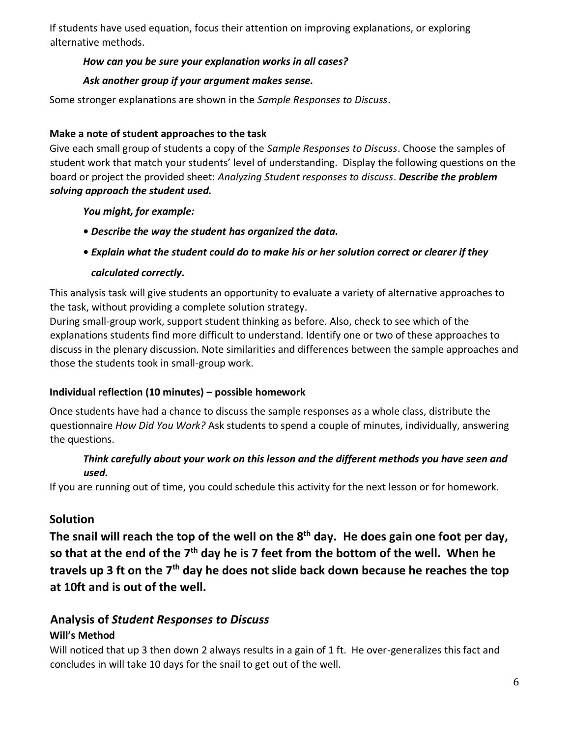If students have used equation, focus their attention on improving explanations, or exploring alternative methods.

#### *How can you be sure your explanation works in all cases?*

#### *Ask another group if your argument makes sense.*

Some stronger explanations are shown in the *Sample Responses to Discuss*.

#### **Make a note of student approaches to the task**

Give each small group of students a copy of the *Sample Responses to Discuss*. Choose the samples of student work that match your students' level of understanding. Display the following questions on the board or project the provided sheet: *Analyzing Student responses to discuss*. *Describe the problem solving approach the student used.* 

#### *You might, for example:*

- **•** *Describe the way the student has organized the data.*
- **•** *Explain what the student could do to make his or her solution correct or clearer if they*

#### *calculated correctly.*

This analysis task will give students an opportunity to evaluate a variety of alternative approaches to the task, without providing a complete solution strategy.

During small-group work, support student thinking as before. Also, check to see which of the explanations students find more difficult to understand. Identify one or two of these approaches to discuss in the plenary discussion. Note similarities and differences between the sample approaches and those the students took in small-group work.

#### **Individual reflection (10 minutes) – possible homework**

Once students have had a chance to discuss the sample responses as a whole class, distribute the questionnaire *How Did You Work?* Ask students to spend a couple of minutes, individually, answering the questions.

#### *Think carefully about your work on this lesson and the different methods you have seen and used.*

If you are running out of time, you could schedule this activity for the next lesson or for homework.

#### **Solution**

**The snail will reach the top of the well on the 8th day. He does gain one foot per day, so that at the end of the 7th day he is 7 feet from the bottom of the well. When he travels up 3 ft on the 7th day he does not slide back down because he reaches the top at 10ft and is out of the well.** 

#### **Analysis of** *Student Responses to Discuss*  **Will's Method**

Will noticed that up 3 then down 2 always results in a gain of 1 ft. He over-generalizes this fact and concludes in will take 10 days for the snail to get out of the well.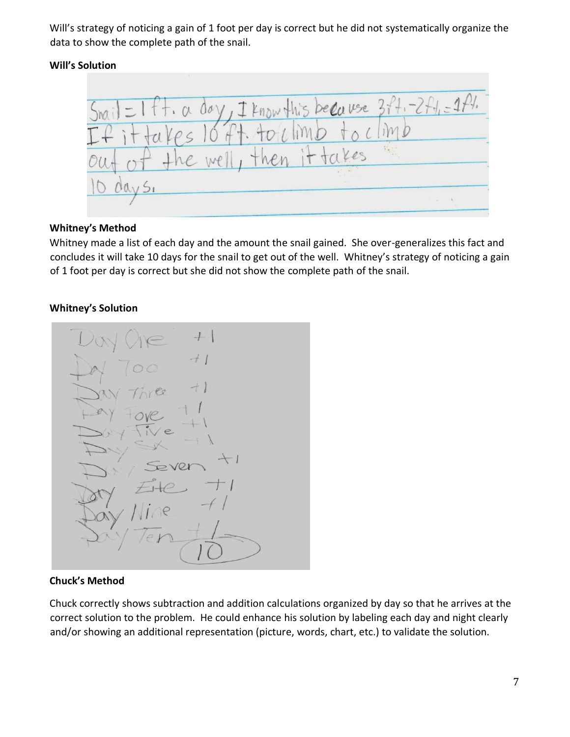Will's strategy of noticing a gain of 1 foot per day is correct but he did not systematically organize the data to show the complete path of the snail.

#### **Will's Solution**



#### **Whitney's Method**

Whitney made a list of each day and the amount the snail gained. She over-generalizes this fact and concludes it will take 10 days for the snail to get out of the well. Whitney's strategy of noticing a gain of 1 foot per day is correct but she did not show the complete path of the snail.

#### **Whitney's Solution**



#### **Chuck's Method**

Chuck correctly shows subtraction and addition calculations organized by day so that he arrives at the correct solution to the problem. He could enhance his solution by labeling each day and night clearly and/or showing an additional representation (picture, words, chart, etc.) to validate the solution.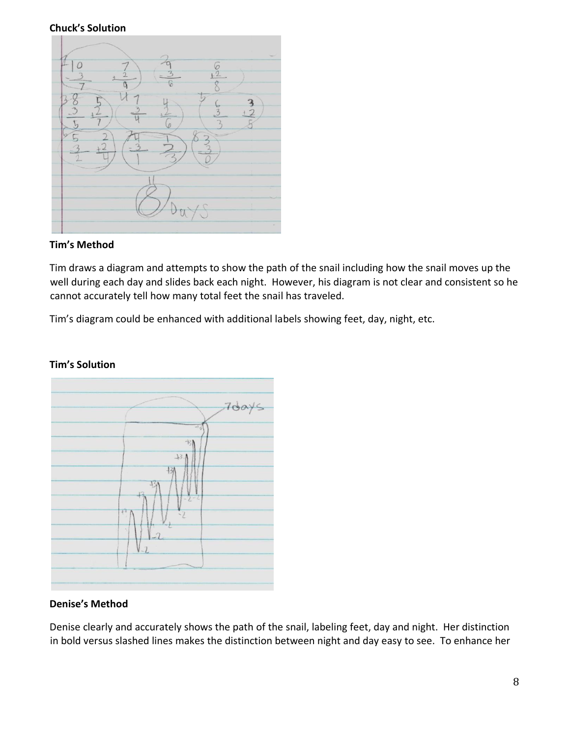#### **Chuck's Solution**



#### **Tim's Method**

Tim draws a diagram and attempts to show the path of the snail including how the snail moves up the well during each day and slides back each night. However, his diagram is not clear and consistent so he cannot accurately tell how many total feet the snail has traveled.

Tim's diagram could be enhanced with additional labels showing feet, day, night, etc.



#### **Tim's Solution**

#### **Denise's Method**

Denise clearly and accurately shows the path of the snail, labeling feet, day and night. Her distinction in bold versus slashed lines makes the distinction between night and day easy to see. To enhance her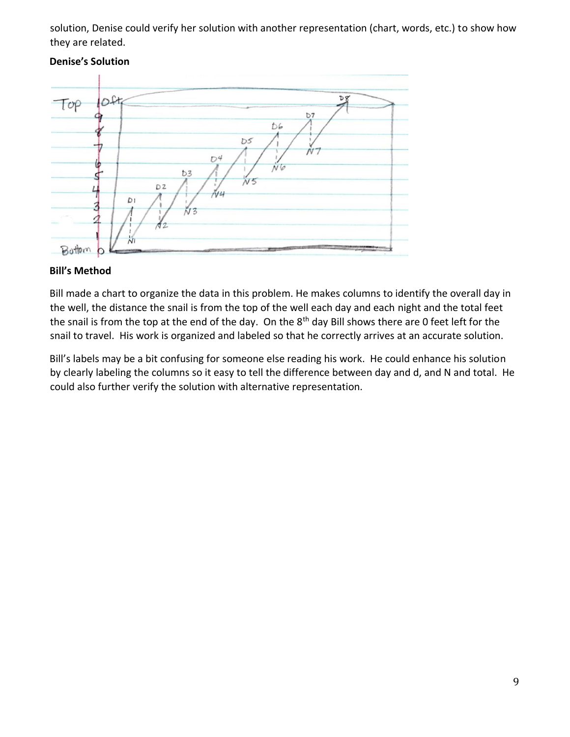solution, Denise could verify her solution with another representation (chart, words, etc.) to show how they are related.

#### **Denise's Solution**



#### **Bill's Method**

Bill made a chart to organize the data in this problem. He makes columns to identify the overall day in the well, the distance the snail is from the top of the well each day and each night and the total feet the snail is from the top at the end of the day. On the 8<sup>th</sup> day Bill shows there are 0 feet left for the snail to travel. His work is organized and labeled so that he correctly arrives at an accurate solution.

Bill's labels may be a bit confusing for someone else reading his work. He could enhance his solution by clearly labeling the columns so it easy to tell the difference between day and d, and N and total. He could also further verify the solution with alternative representation.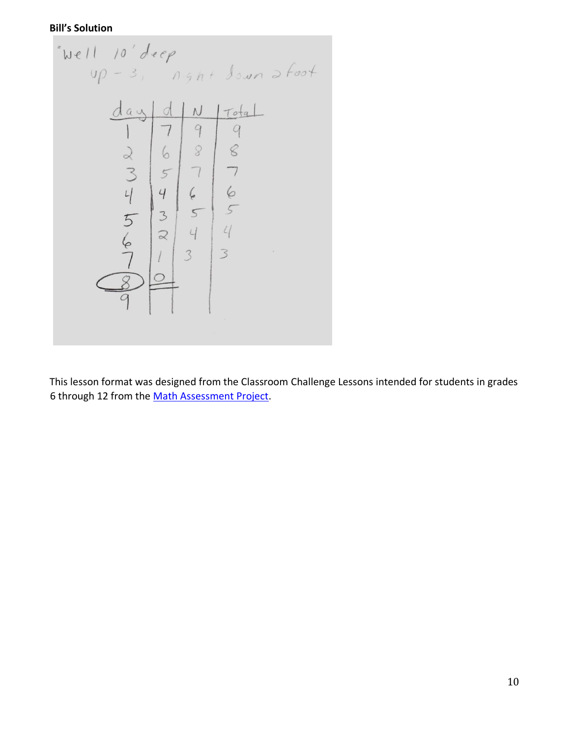#### **Bill's Solution**

Well 10' deep up - 3, n<sub>9</sub>nt down of not

\n
$$
\frac{day}{1} \frac{d}{7} \frac{d}{q} \frac{d}{r} \frac{d}{r} \frac{d}{r}
$$
\n
$$
\frac{d}{3} \frac{6}{5} \frac{7}{7} \frac{7}{4} \frac{6}{5}
$$
\n
$$
\frac{7}{5} \frac{4}{7} \frac{7}{5} \frac{7}{5}
$$
\n
$$
\frac{6}{7} \frac{7}{2} \frac{1}{4} \frac{4}{3}
$$
\n
$$
\frac{6}{7} \frac{1}{2} \frac{1}{3}
$$

This lesson format was designed from the Classroom Challenge Lessons intended for students in grades 6 through 12 from the [Math Assessment Project.](http://map.mathshell.org/materials/lessons.php?taskid=488&subpage=problem)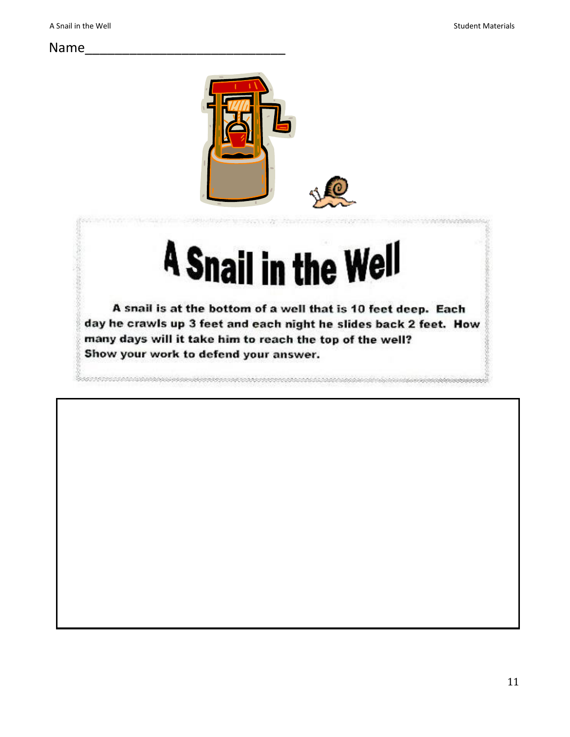#### Name\_\_\_\_\_\_\_\_\_\_\_\_\_\_\_\_\_\_\_\_\_\_\_\_\_\_\_

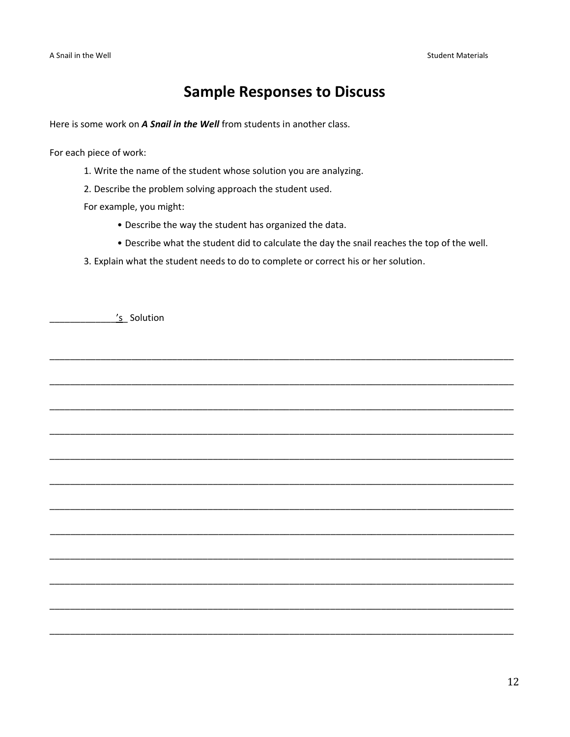### **Sample Responses to Discuss**

Here is some work on A Snail in the Well from students in another class.

For each piece of work:

- 1. Write the name of the student whose solution you are analyzing.
- 2. Describe the problem solving approach the student used.

For example, you might:

- . Describe the way the student has organized the data.
- . Describe what the student did to calculate the day the snail reaches the top of the well.
- 3. Explain what the student needs to do to complete or correct his or her solution.

's Solution

| <u>_s</u> _solution |  |  |
|---------------------|--|--|
|                     |  |  |
|                     |  |  |
|                     |  |  |
|                     |  |  |
|                     |  |  |
|                     |  |  |
|                     |  |  |
|                     |  |  |
|                     |  |  |
|                     |  |  |
|                     |  |  |
|                     |  |  |
|                     |  |  |
|                     |  |  |
|                     |  |  |
|                     |  |  |
|                     |  |  |
|                     |  |  |
|                     |  |  |
|                     |  |  |
|                     |  |  |
|                     |  |  |
|                     |  |  |
|                     |  |  |
|                     |  |  |
|                     |  |  |
|                     |  |  |
|                     |  |  |
|                     |  |  |
|                     |  |  |
|                     |  |  |
|                     |  |  |
|                     |  |  |
|                     |  |  |
|                     |  |  |
|                     |  |  |
|                     |  |  |
|                     |  |  |
|                     |  |  |
|                     |  |  |
|                     |  |  |
|                     |  |  |
|                     |  |  |
|                     |  |  |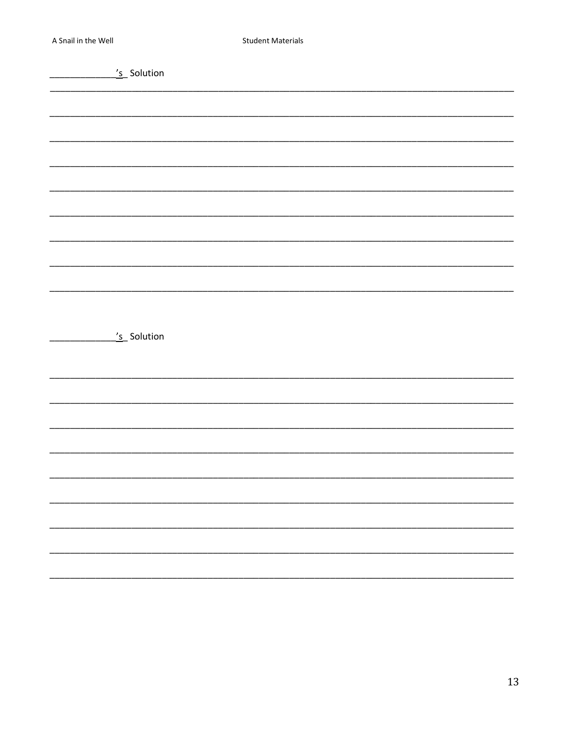| 's_Solution |  |
|-------------|--|
|             |  |
|             |  |
|             |  |
|             |  |
|             |  |
|             |  |
|             |  |
|             |  |
|             |  |
|             |  |
| 's Solution |  |
|             |  |
|             |  |
|             |  |
|             |  |
|             |  |
|             |  |
|             |  |
|             |  |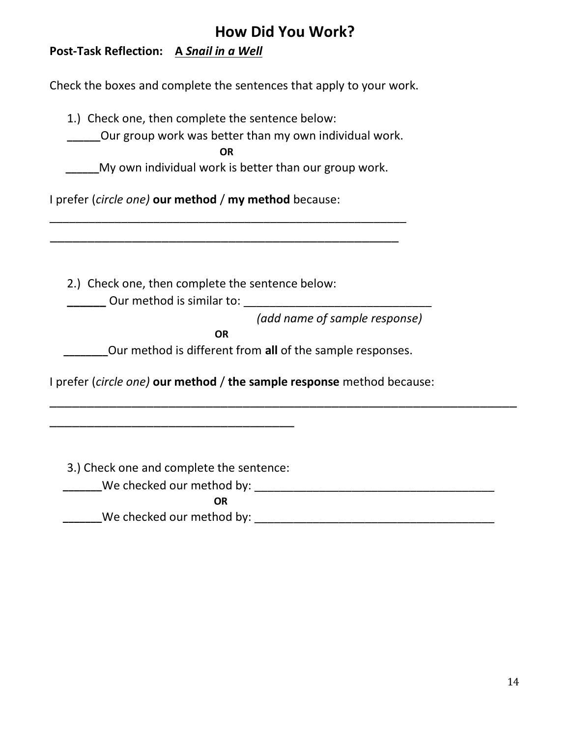### **How Did You Work?**

**Post-Task Reflection: A** *Snail in a Well*

Check the boxes and complete the sentences that apply to your work.

1.) Check one, then complete the sentence below: **\_\_\_\_\_\_**Our group work was better than my own individual work.  *OR* OR  **\_\_\_\_\_\_**My own individual work is better than our group work. I prefer (*circle one)* **our method** / **my method** because: \_\_\_\_\_\_\_\_\_\_\_\_\_\_\_\_\_\_\_\_\_\_\_\_\_\_\_\_\_\_\_\_\_\_\_\_\_\_\_\_\_\_\_\_\_\_\_\_\_\_\_\_\_\_\_ \_\_\_\_\_\_\_\_\_\_\_\_\_\_\_\_\_\_\_\_\_\_\_\_\_\_\_\_\_\_\_\_\_\_\_\_\_\_\_\_\_\_\_\_\_\_\_ 2.) Check one, then complete the sentence below: **\_\_\_\_\_\_** Our method is similar to: \_\_\_\_\_\_\_\_\_\_\_\_\_\_\_\_\_\_\_\_\_\_\_\_\_\_\_\_\_  *(add name of sample response)*  **DR OR \_\_\_\_\_\_\_\_**Our method is different from **all** of the sample responses. I prefer (*circle one)* **our method** / **the sample response** method because: \_\_\_\_\_\_\_\_\_\_\_\_\_\_\_\_\_\_\_\_\_\_\_\_\_\_\_\_\_\_\_\_\_\_\_\_\_\_\_\_\_\_\_\_\_\_\_\_\_\_\_\_\_\_\_\_\_\_\_\_\_\_\_ \_\_\_\_\_\_\_\_\_\_\_\_\_\_\_\_\_\_\_\_\_\_\_\_\_\_\_\_\_\_\_\_\_ 3.) Check one and complete the sentence: **\_\_\_\_\_\_\_**We checked our method by: \_\_\_\_\_\_\_\_\_\_\_\_\_\_\_\_\_\_\_\_\_\_\_\_\_\_\_\_\_\_\_\_\_\_\_\_\_ *OR* **Example 20 We checked our method by:**  $\blacksquare$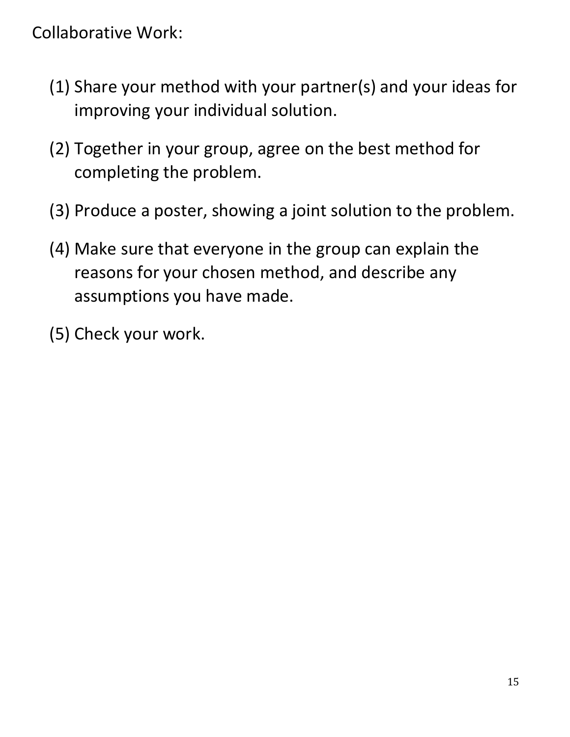Collaborative Work:

- (1) Share your method with your partner(s) and your ideas for improving your individual solution.
- (2) Together in your group, agree on the best method for completing the problem.
- (3) Produce a poster, showing a joint solution to the problem.
- (4) Make sure that everyone in the group can explain the reasons for your chosen method, and describe any assumptions you have made.
- (5) Check your work.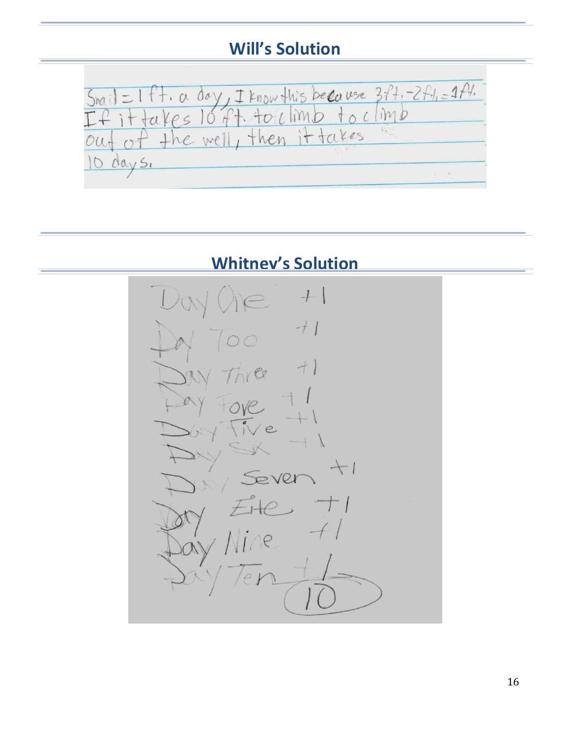### **Will's Solution**



**Whitney's Solution**

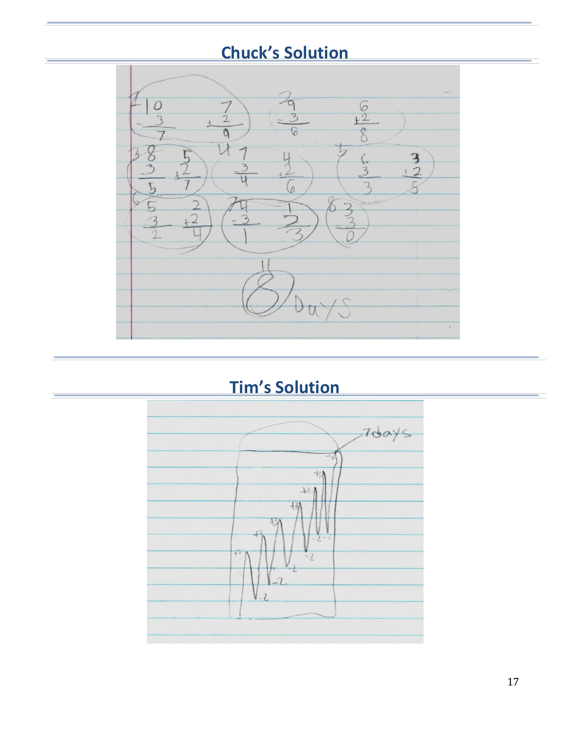# **Chuck's Solution**



## **Tim's Solution**